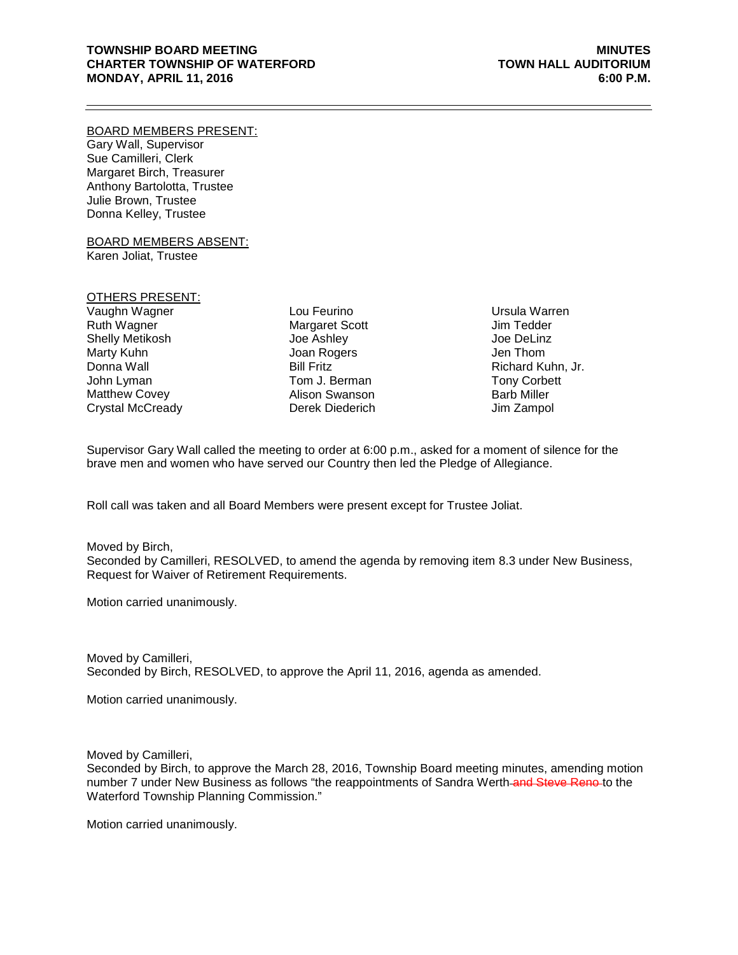## **TOWNSHIP BOARD MEETING MINUTES CHARTER TOWNSHIP OF WATERFORD TOWN HALL AUDITORIUM MONDAY, APRIL 11, 2016**

#### BOARD MEMBERS PRESENT:

Gary Wall, Supervisor Sue Camilleri, Clerk Margaret Birch, Treasurer Anthony Bartolotta, Trustee Julie Brown, Trustee Donna Kelley, Trustee

BOARD MEMBERS ABSENT: Karen Joliat, Trustee

### OTHERS PRESENT:

Vaughn Wagner Ruth Wagner Shelly Metikosh Marty Kuhn Donna Wall John Lyman Matthew Covey Crystal McCready

Lou Feurino Margaret Scott Joe Ashley Joan Rogers Bill Fritz Tom J. Berman Alison Swanson Derek Diederich Ursula Warren Jim Tedder Joe DeLinz Jen Thom Richard Kuhn, Jr. Tony Corbett Barb Miller Jim Zampol

Supervisor Gary Wall called the meeting to order at 6:00 p.m., asked for a moment of silence for the brave men and women who have served our Country then led the Pledge of Allegiance.

Roll call was taken and all Board Members were present except for Trustee Joliat.

#### Moved by Birch,

Seconded by Camilleri, RESOLVED, to amend the agenda by removing item 8.3 under New Business, Request for Waiver of Retirement Requirements.

Motion carried unanimously.

Moved by Camilleri, Seconded by Birch, RESOLVED, to approve the April 11, 2016, agenda as amended.

Motion carried unanimously.

Moved by Camilleri,

Seconded by Birch, to approve the March 28, 2016, Township Board meeting minutes, amending motion number 7 under New Business as follows "the reappointments of Sandra Werth-and Steve Reno-to the Waterford Township Planning Commission."

Motion carried unanimously.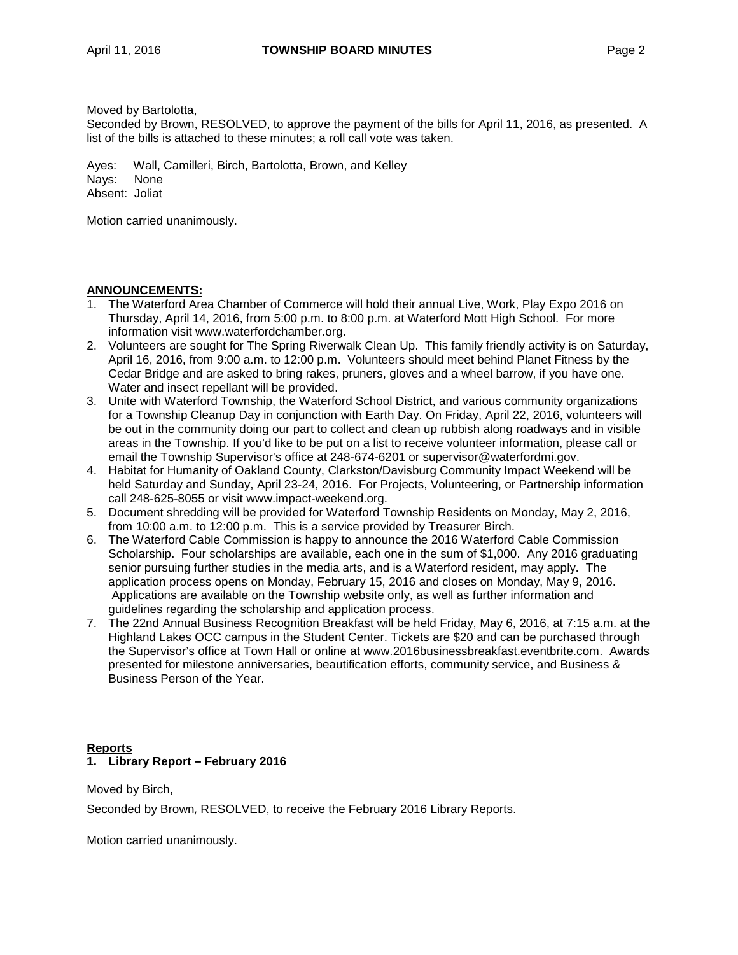Moved by Bartolotta,

Seconded by Brown, RESOLVED, to approve the payment of the bills for April 11, 2016, as presented. A list of the bills is attached to these minutes; a roll call vote was taken.

Ayes: Wall, Camilleri, Birch, Bartolotta, Brown, and Kelley Nays: None Absent: Joliat

Motion carried unanimously.

## **ANNOUNCEMENTS:**

- 1. The Waterford Area Chamber of Commerce will hold their annual Live, Work, Play Expo 2016 on Thursday, April 14, 2016, from 5:00 p.m. to 8:00 p.m. at Waterford Mott High School. For more information visit www.waterfordchamber.org.
- 2. Volunteers are sought for The Spring Riverwalk Clean Up. This family friendly activity is on Saturday, April 16, 2016, from 9:00 a.m. to 12:00 p.m. Volunteers should meet behind Planet Fitness by the Cedar Bridge and are asked to bring rakes, pruners, gloves and a wheel barrow, if you have one. Water and insect repellant will be provided.
- 3. Unite with Waterford Township, the Waterford School District, and various community organizations for a Township Cleanup Day in conjunction with Earth Day. On Friday, April 22, 2016, volunteers will be out in the community doing our part to collect and clean up rubbish along roadways and in visible areas in the Township. If you'd like to be put on a list to receive volunteer information, please call or email the Township Supervisor's office at 248-674-6201 or [supervisor@waterfordmi.gov.](mailto:supervisor@waterfordmi.gov)
- 4. Habitat for Humanity of Oakland County, Clarkston/Davisburg Community Impact Weekend will be held Saturday and Sunday, April 23-24, 2016. For Projects, Volunteering, or Partnership information call 248-625-8055 or visit [www.impact-weekend.org.](http://www.impact-weekend.org/)
- 5. Document shredding will be provided for Waterford Township Residents on Monday, May 2, 2016, from 10:00 a.m. to 12:00 p.m. This is a service provided by Treasurer Birch.
- 6. The Waterford Cable Commission is happy to announce the 2016 Waterford Cable Commission Scholarship. Four scholarships are available, each one in the sum of \$1,000. Any 2016 graduating senior pursuing further studies in the media arts, and is a Waterford resident, may apply. The application process opens on Monday, February 15, 2016 and closes on Monday, May 9, 2016. Applications are available on the Township website only, as well as further information and guidelines regarding the scholarship and application process.
- 7. The 22nd Annual Business Recognition Breakfast will be held Friday, May 6, 2016, at 7:15 a.m. at the Highland Lakes OCC campus in the Student Center. Tickets are \$20 and can be purchased through the Supervisor's office at Town Hall or online at [www.2016businessbreakfast.eventbrite.com.](http://www.2016businessbreakfast.eventbrite.com/) Awards presented for milestone anniversaries, beautification efforts, community service, and Business & Business Person of the Year.

## **Reports 1. Library Report – February 2016**

Moved by Birch,

Seconded by Brown, RESOLVED, to receive the February 2016 Library Reports.

Motion carried unanimously.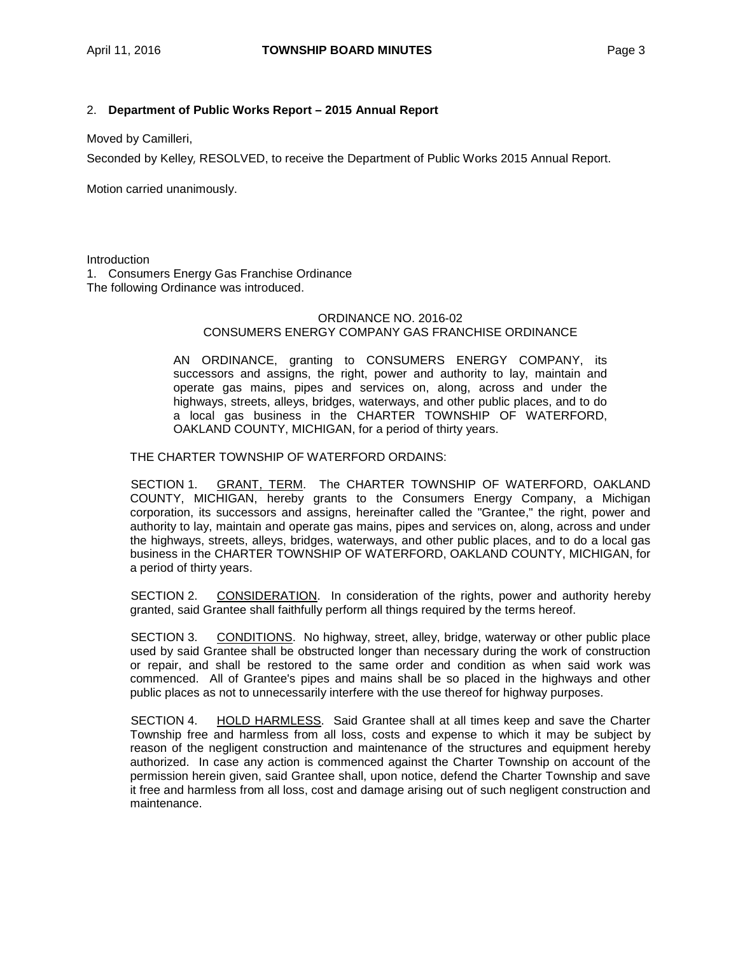## 2. **Department of Public Works Report – 2015 Annual Report**

Moved by Camilleri,

Seconded by Kelley, RESOLVED, to receive the Department of Public Works 2015 Annual Report.

Motion carried unanimously.

**Introduction** 

1. Consumers Energy Gas Franchise Ordinance The following Ordinance was introduced.

## ORDINANCE NO. 2016-02 CONSUMERS ENERGY COMPANY GAS FRANCHISE ORDINANCE

AN ORDINANCE, granting to CONSUMERS ENERGY COMPANY, its successors and assigns, the right, power and authority to lay, maintain and operate gas mains, pipes and services on, along, across and under the highways, streets, alleys, bridges, waterways, and other public places, and to do a local gas business in the CHARTER TOWNSHIP OF WATERFORD, OAKLAND COUNTY, MICHIGAN, for a period of thirty years.

THE CHARTER TOWNSHIP OF WATERFORD ORDAINS:

SECTION 1. GRANT, TERM. The CHARTER TOWNSHIP OF WATERFORD, OAKLAND COUNTY, MICHIGAN, hereby grants to the Consumers Energy Company, a Michigan corporation, its successors and assigns, hereinafter called the "Grantee," the right, power and authority to lay, maintain and operate gas mains, pipes and services on, along, across and under the highways, streets, alleys, bridges, waterways, and other public places, and to do a local gas business in the CHARTER TOWNSHIP OF WATERFORD, OAKLAND COUNTY, MICHIGAN, for a period of thirty years.

SECTION 2. CONSIDERATION. In consideration of the rights, power and authority hereby granted, said Grantee shall faithfully perform all things required by the terms hereof.

SECTION 3. CONDITIONS. No highway, street, alley, bridge, waterway or other public place used by said Grantee shall be obstructed longer than necessary during the work of construction or repair, and shall be restored to the same order and condition as when said work was commenced. All of Grantee's pipes and mains shall be so placed in the highways and other public places as not to unnecessarily interfere with the use thereof for highway purposes.

SECTION 4. HOLD HARMLESS. Said Grantee shall at all times keep and save the Charter Township free and harmless from all loss, costs and expense to which it may be subject by reason of the negligent construction and maintenance of the structures and equipment hereby authorized. In case any action is commenced against the Charter Township on account of the permission herein given, said Grantee shall, upon notice, defend the Charter Township and save it free and harmless from all loss, cost and damage arising out of such negligent construction and maintenance.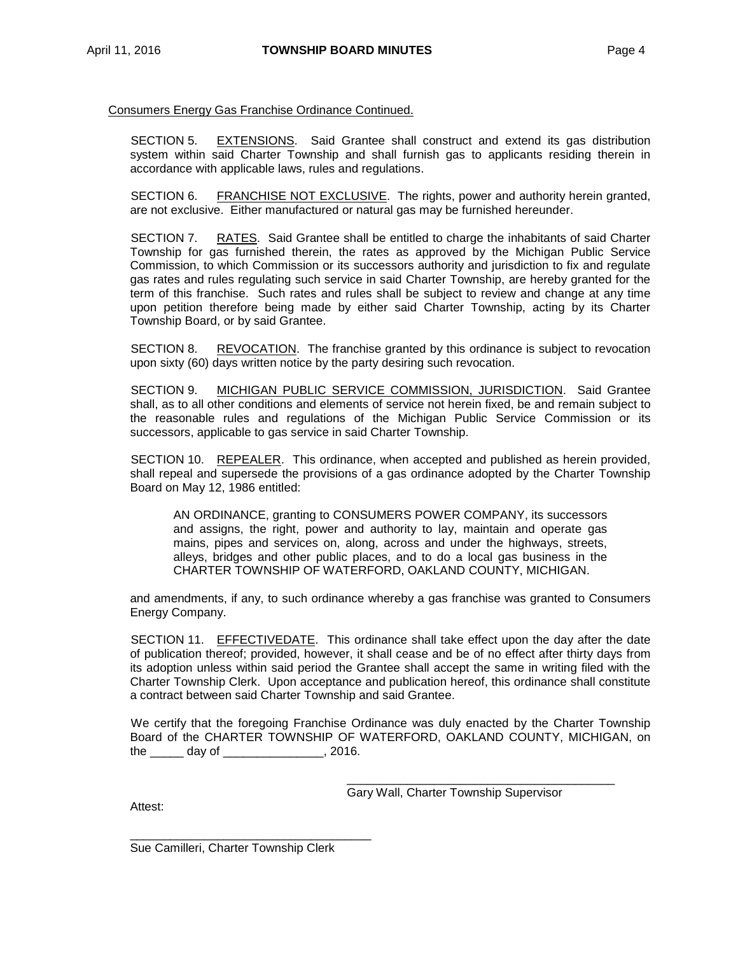## Consumers Energy Gas Franchise Ordinance Continued.

SECTION 5. EXTENSIONS. Said Grantee shall construct and extend its gas distribution system within said Charter Township and shall furnish gas to applicants residing therein in accordance with applicable laws, rules and regulations.

SECTION 6. FRANCHISE NOT EXCLUSIVE. The rights, power and authority herein granted, are not exclusive. Either manufactured or natural gas may be furnished hereunder.

SECTION 7. RATES. Said Grantee shall be entitled to charge the inhabitants of said Charter Township for gas furnished therein, the rates as approved by the Michigan Public Service Commission, to which Commission or its successors authority and jurisdiction to fix and regulate gas rates and rules regulating such service in said Charter Township, are hereby granted for the term of this franchise. Such rates and rules shall be subject to review and change at any time upon petition therefore being made by either said Charter Township, acting by its Charter Township Board, or by said Grantee.

SECTION 8. REVOCATION. The franchise granted by this ordinance is subject to revocation upon sixty (60) days written notice by the party desiring such revocation.

SECTION 9. MICHIGAN PUBLIC SERVICE COMMISSION, JURISDICTION. Said Grantee shall, as to all other conditions and elements of service not herein fixed, be and remain subject to the reasonable rules and regulations of the Michigan Public Service Commission or its successors, applicable to gas service in said Charter Township.

SECTION 10. REPEALER. This ordinance, when accepted and published as herein provided, shall repeal and supersede the provisions of a gas ordinance adopted by the Charter Township Board on May 12, 1986 entitled:

AN ORDINANCE, granting to CONSUMERS POWER COMPANY, its successors and assigns, the right, power and authority to lay, maintain and operate gas mains, pipes and services on, along, across and under the highways, streets, alleys, bridges and other public places, and to do a local gas business in the CHARTER TOWNSHIP OF WATERFORD, OAKLAND COUNTY, MICHIGAN.

and amendments, if any, to such ordinance whereby a gas franchise was granted to Consumers Energy Company.

SECTION 11. EFFECTIVEDATE. This ordinance shall take effect upon the day after the date of publication thereof; provided, however, it shall cease and be of no effect after thirty days from its adoption unless within said period the Grantee shall accept the same in writing filed with the Charter Township Clerk. Upon acceptance and publication hereof, this ordinance shall constitute a contract between said Charter Township and said Grantee.

We certify that the foregoing Franchise Ordinance was duly enacted by the Charter Township Board of the CHARTER TOWNSHIP OF WATERFORD, OAKLAND COUNTY, MICHIGAN, on  $the$   $day$  of  $12016$ .

> \_\_\_\_\_\_\_\_\_\_\_\_\_\_\_\_\_\_\_\_\_\_\_\_\_\_\_\_\_\_\_\_\_\_\_\_\_\_\_\_ Gary Wall, Charter Township Supervisor

Attest:

\_\_\_\_\_\_\_\_\_\_\_\_\_\_\_\_\_\_\_\_\_\_\_\_\_\_\_\_\_\_\_\_\_\_\_\_ Sue Camilleri, Charter Township Clerk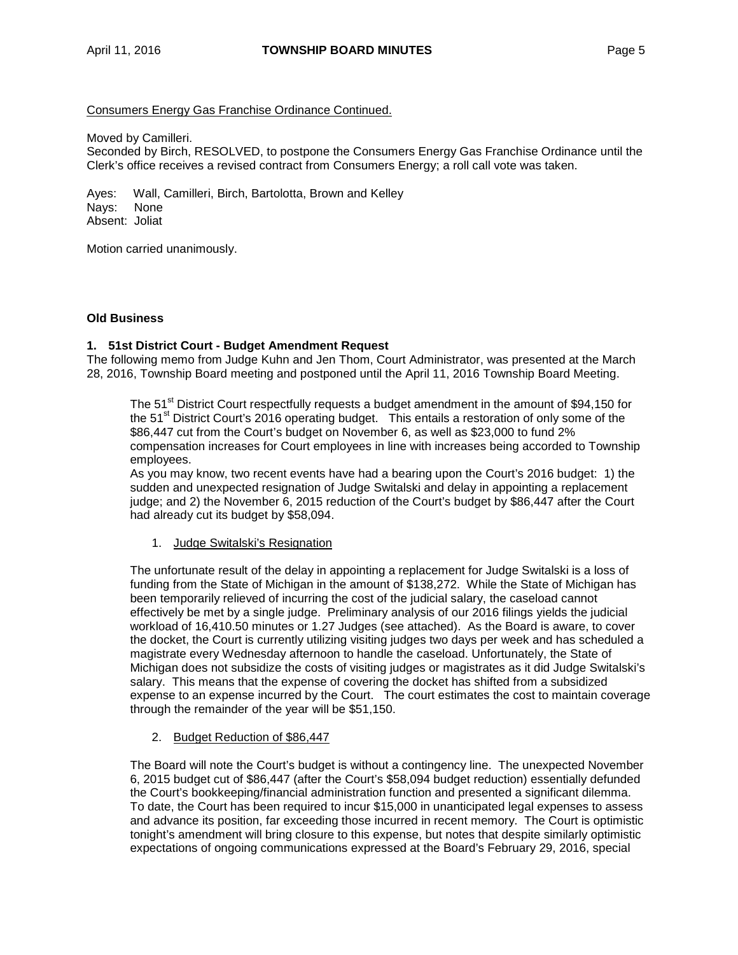## Consumers Energy Gas Franchise Ordinance Continued.

Moved by Camilleri.

Seconded by Birch, RESOLVED, to postpone the Consumers Energy Gas Franchise Ordinance until the Clerk's office receives a revised contract from Consumers Energy; a roll call vote was taken.

Ayes: Wall, Camilleri, Birch, Bartolotta, Brown and Kelley Nays: None Absent: Joliat

Motion carried unanimously.

## **Old Business**

## **1. 51st District Court - Budget Amendment Request**

The following memo from Judge Kuhn and Jen Thom, Court Administrator, was presented at the March 28, 2016, Township Board meeting and postponed until the April 11, 2016 Township Board Meeting.

The 51<sup>st</sup> District Court respectfully requests a budget amendment in the amount of \$94,150 for the 51<sup>st</sup> District Court's 2016 operating budget. This entails a restoration of only some of the \$86,447 cut from the Court's budget on November 6, as well as \$23,000 to fund 2% compensation increases for Court employees in line with increases being accorded to Township employees.

As you may know, two recent events have had a bearing upon the Court's 2016 budget: 1) the sudden and unexpected resignation of Judge Switalski and delay in appointing a replacement judge; and 2) the November 6, 2015 reduction of the Court's budget by \$86,447 after the Court had already cut its budget by \$58,094.

## 1. Judge Switalski's Resignation

The unfortunate result of the delay in appointing a replacement for Judge Switalski is a loss of funding from the State of Michigan in the amount of \$138,272. While the State of Michigan has been temporarily relieved of incurring the cost of the judicial salary, the caseload cannot effectively be met by a single judge. Preliminary analysis of our 2016 filings yields the judicial workload of 16,410.50 minutes or 1.27 Judges (see attached). As the Board is aware, to cover the docket, the Court is currently utilizing visiting judges two days per week and has scheduled a magistrate every Wednesday afternoon to handle the caseload. Unfortunately, the State of Michigan does not subsidize the costs of visiting judges or magistrates as it did Judge Switalski's salary. This means that the expense of covering the docket has shifted from a subsidized expense to an expense incurred by the Court. The court estimates the cost to maintain coverage through the remainder of the year will be \$51,150.

#### 2. Budget Reduction of \$86,447

The Board will note the Court's budget is without a contingency line. The unexpected November 6, 2015 budget cut of \$86,447 (after the Court's \$58,094 budget reduction) essentially defunded the Court's bookkeeping/financial administration function and presented a significant dilemma. To date, the Court has been required to incur \$15,000 in unanticipated legal expenses to assess and advance its position, far exceeding those incurred in recent memory. The Court is optimistic tonight's amendment will bring closure to this expense, but notes that despite similarly optimistic expectations of ongoing communications expressed at the Board's February 29, 2016, special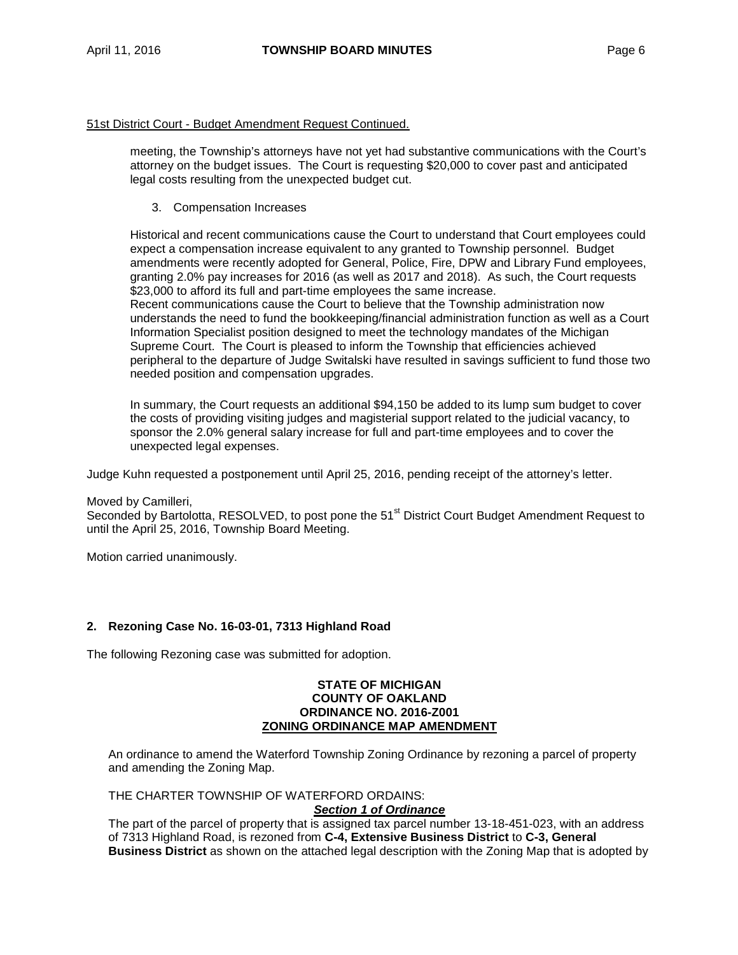### 51st District Court - Budget Amendment Request Continued.

meeting, the Township's attorneys have not yet had substantive communications with the Court's attorney on the budget issues. The Court is requesting \$20,000 to cover past and anticipated legal costs resulting from the unexpected budget cut.

3. Compensation Increases

Historical and recent communications cause the Court to understand that Court employees could expect a compensation increase equivalent to any granted to Township personnel. Budget amendments were recently adopted for General, Police, Fire, DPW and Library Fund employees, granting 2.0% pay increases for 2016 (as well as 2017 and 2018). As such, the Court requests \$23,000 to afford its full and part-time employees the same increase.

Recent communications cause the Court to believe that the Township administration now understands the need to fund the bookkeeping/financial administration function as well as a Court Information Specialist position designed to meet the technology mandates of the Michigan Supreme Court. The Court is pleased to inform the Township that efficiencies achieved peripheral to the departure of Judge Switalski have resulted in savings sufficient to fund those two needed position and compensation upgrades.

In summary, the Court requests an additional \$94,150 be added to its lump sum budget to cover the costs of providing visiting judges and magisterial support related to the judicial vacancy, to sponsor the 2.0% general salary increase for full and part-time employees and to cover the unexpected legal expenses.

Judge Kuhn requested a postponement until April 25, 2016, pending receipt of the attorney's letter.

## Moved by Camilleri,

Seconded by Bartolotta, RESOLVED, to post pone the 51<sup>st</sup> District Court Budget Amendment Request to until the April 25, 2016, Township Board Meeting.

Motion carried unanimously.

## **2. Rezoning Case No. 16-03-01, 7313 Highland Road**

The following Rezoning case was submitted for adoption.

#### **STATE OF MICHIGAN COUNTY OF OAKLAND ORDINANCE NO. 2016-Z001 ZONING ORDINANCE MAP AMENDMENT**

An ordinance to amend the Waterford Township Zoning Ordinance by rezoning a parcel of property and amending the Zoning Map.

THE CHARTER TOWNSHIP OF WATERFORD ORDAINS:

#### *Section 1 of Ordinance*

The part of the parcel of property that is assigned tax parcel number 13-18-451-023, with an address of 7313 Highland Road, is rezoned from **C-4, Extensive Business District** to **C-3, General Business District** as shown on the attached legal description with the Zoning Map that is adopted by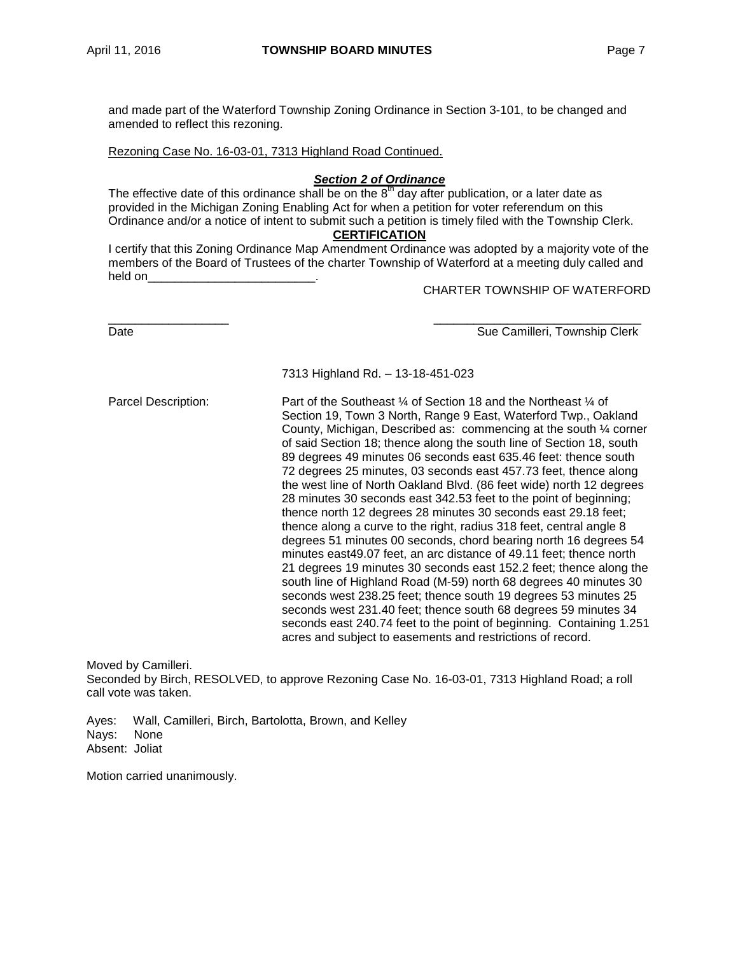and made part of the Waterford Township Zoning Ordinance in Section 3-101, to be changed and amended to reflect this rezoning.

Rezoning Case No. 16-03-01, 7313 Highland Road Continued.

## *Section 2 of Ordinance*

The effective date of this ordinance shall be on the  $8<sup>th</sup>$  day after publication, or a later date as provided in the Michigan Zoning Enabling Act for when a petition for voter referendum on this Ordinance and/or a notice of intent to submit such a petition is timely filed with the Township Clerk.

## **CERTIFICATION**

I certify that this Zoning Ordinance Map Amendment Ordinance was adopted by a majority vote of the members of the Board of Trustees of the charter Township of Waterford at a meeting duly called and held on

CHARTER TOWNSHIP OF WATERFORD

\_\_\_\_\_\_\_\_\_\_\_\_\_\_\_\_\_\_ \_\_\_\_\_\_\_\_\_\_\_\_\_\_\_\_\_\_\_\_\_\_\_\_\_\_\_\_\_\_\_ Date **Sue Camilleri, Township Clerk** Sue Camilleri, Township Clerk

7313 Highland Rd. – 13-18-451-023

Parcel Description: Part of the Southeast 1/4 of Section 18 and the Northeast 1/4 of Section 19, Town 3 North, Range 9 East, Waterford Twp., Oakland County, Michigan, Described as: commencing at the south ¼ corner of said Section 18; thence along the south line of Section 18, south 89 degrees 49 minutes 06 seconds east 635.46 feet: thence south 72 degrees 25 minutes, 03 seconds east 457.73 feet, thence along the west line of North Oakland Blvd. (86 feet wide) north 12 degrees 28 minutes 30 seconds east 342.53 feet to the point of beginning; thence north 12 degrees 28 minutes 30 seconds east 29.18 feet; thence along a curve to the right, radius 318 feet, central angle 8 degrees 51 minutes 00 seconds, chord bearing north 16 degrees 54 minutes east49.07 feet, an arc distance of 49.11 feet; thence north 21 degrees 19 minutes 30 seconds east 152.2 feet; thence along the south line of Highland Road (M-59) north 68 degrees 40 minutes 30 seconds west 238.25 feet; thence south 19 degrees 53 minutes 25 seconds west 231.40 feet; thence south 68 degrees 59 minutes 34 seconds east 240.74 feet to the point of beginning. Containing 1.251 acres and subject to easements and restrictions of record.

Moved by Camilleri.

Seconded by Birch, RESOLVED, to approve Rezoning Case No. 16-03-01, 7313 Highland Road; a roll call vote was taken.

Ayes: Wall, Camilleri, Birch, Bartolotta, Brown, and Kelley Nays: None Absent: Joliat

Motion carried unanimously.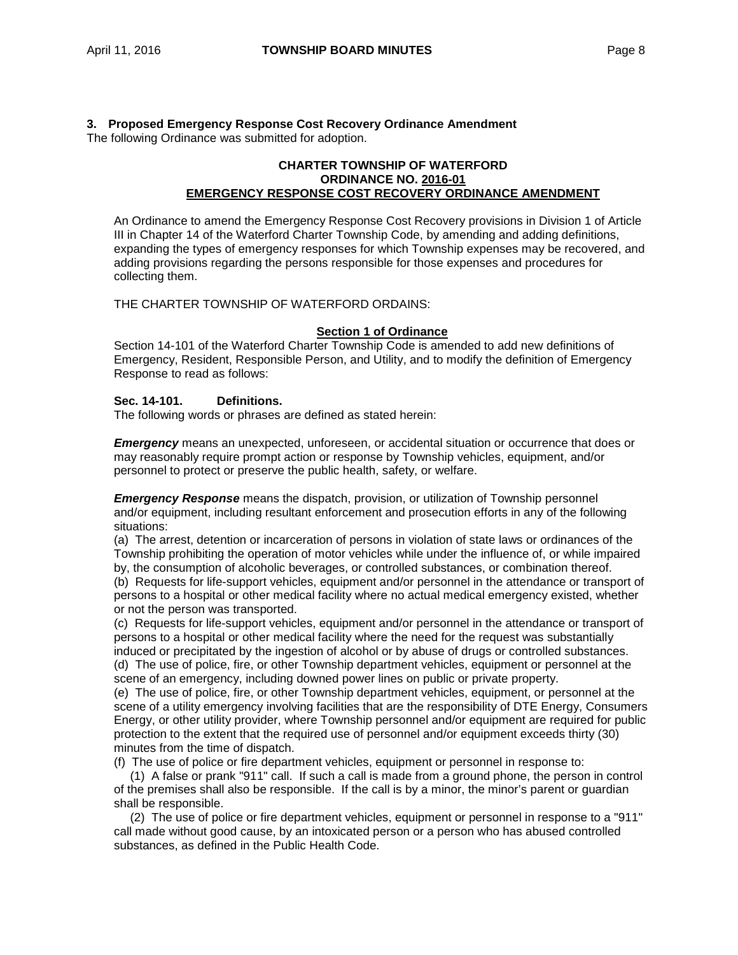#### **3. Proposed Emergency Response Cost Recovery Ordinance Amendment** The following Ordinance was submitted for adoption.

## **CHARTER TOWNSHIP OF WATERFORD ORDINANCE NO. 2016-01 EMERGENCY RESPONSE COST RECOVERY ORDINANCE AMENDMENT**

An Ordinance to amend the Emergency Response Cost Recovery provisions in Division 1 of Article III in Chapter 14 of the Waterford Charter Township Code, by amending and adding definitions, expanding the types of emergency responses for which Township expenses may be recovered, and adding provisions regarding the persons responsible for those expenses and procedures for collecting them.

THE CHARTER TOWNSHIP OF WATERFORD ORDAINS:

## **Section 1 of Ordinance**

Section 14-101 of the Waterford Charter Township Code is amended to add new definitions of Emergency, Resident, Responsible Person, and Utility, and to modify the definition of Emergency Response to read as follows:

## **Sec. 14-101. Definitions.**

The following words or phrases are defined as stated herein:

*Emergency* means an unexpected, unforeseen, or accidental situation or occurrence that does or may reasonably require prompt action or response by Township vehicles, equipment, and/or personnel to protect or preserve the public health, safety, or welfare.

*Emergency Response* means the dispatch, provision, or utilization of Township personnel and/or equipment, including resultant enforcement and prosecution efforts in any of the following situations:

(a) The arrest, detention or incarceration of persons in violation of state laws or ordinances of the Township prohibiting the operation of motor vehicles while under the influence of, or while impaired by, the consumption of alcoholic beverages, or controlled substances, or combination thereof. (b) Requests for life-support vehicles, equipment and/or personnel in the attendance or transport of

persons to a hospital or other medical facility where no actual medical emergency existed, whether or not the person was transported.

(c) Requests for life-support vehicles, equipment and/or personnel in the attendance or transport of persons to a hospital or other medical facility where the need for the request was substantially induced or precipitated by the ingestion of alcohol or by abuse of drugs or controlled substances. (d) The use of police, fire, or other Township department vehicles, equipment or personnel at the

scene of an emergency, including downed power lines on public or private property.

(e) The use of police, fire, or other Township department vehicles, equipment, or personnel at the scene of a utility emergency involving facilities that are the responsibility of DTE Energy, Consumers Energy, or other utility provider, where Township personnel and/or equipment are required for public protection to the extent that the required use of personnel and/or equipment exceeds thirty (30) minutes from the time of dispatch.

(f) The use of police or fire department vehicles, equipment or personnel in response to:

(1) A false or prank "911" call. If such a call is made from a ground phone, the person in control of the premises shall also be responsible. If the call is by a minor, the minor's parent or guardian shall be responsible.

(2) The use of police or fire department vehicles, equipment or personnel in response to a "911" call made without good cause, by an intoxicated person or a person who has abused controlled substances, as defined in the Public Health Code.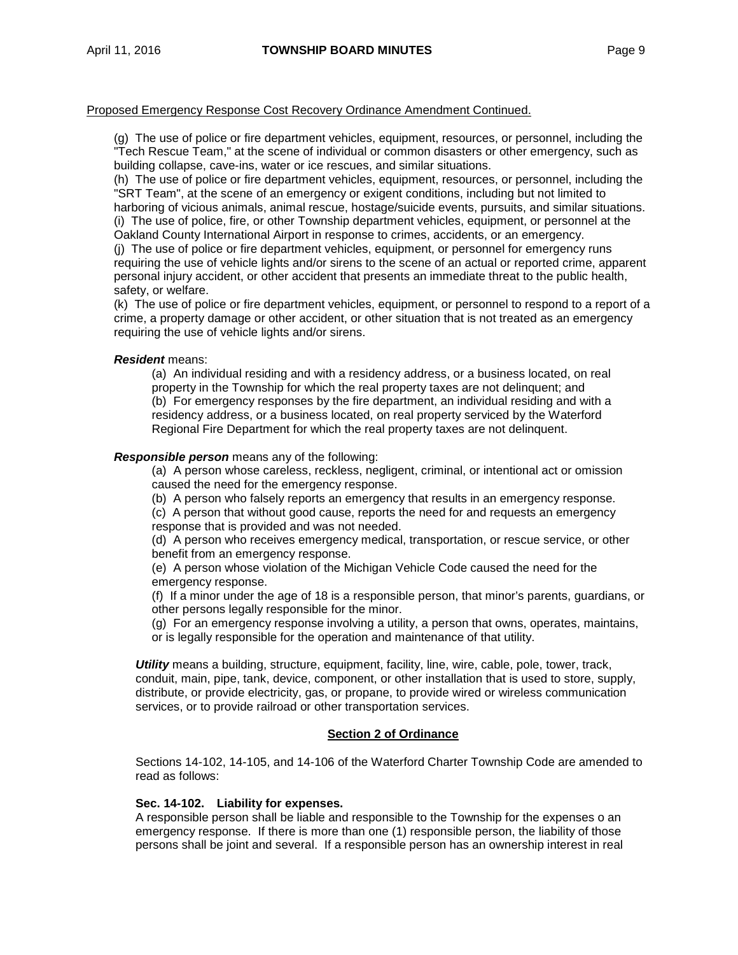## Proposed Emergency Response Cost Recovery Ordinance Amendment Continued.

(g) The use of police or fire department vehicles, equipment, resources, or personnel, including the "Tech Rescue Team," at the scene of individual or common disasters or other emergency, such as building collapse, cave-ins, water or ice rescues, and similar situations.

(h) The use of police or fire department vehicles, equipment, resources, or personnel, including the "SRT Team", at the scene of an emergency or exigent conditions, including but not limited to harboring of vicious animals, animal rescue, hostage/suicide events, pursuits, and similar situations. (i) The use of police, fire, or other Township department vehicles, equipment, or personnel at the Oakland County International Airport in response to crimes, accidents, or an emergency. (j) The use of police or fire department vehicles, equipment, or personnel for emergency runs requiring the use of vehicle lights and/or sirens to the scene of an actual or reported crime, apparent personal injury accident, or other accident that presents an immediate threat to the public health, safety, or welfare.

(k) The use of police or fire department vehicles, equipment, or personnel to respond to a report of a crime, a property damage or other accident, or other situation that is not treated as an emergency requiring the use of vehicle lights and/or sirens.

## *Resident* means:

(a) An individual residing and with a residency address, or a business located, on real property in the Township for which the real property taxes are not delinquent; and (b) For emergency responses by the fire department, an individual residing and with a residency address, or a business located, on real property serviced by the Waterford Regional Fire Department for which the real property taxes are not delinquent.

## *Responsible person* means any of the following:

(a) A person whose careless, reckless, negligent, criminal, or intentional act or omission caused the need for the emergency response.

(b) A person who falsely reports an emergency that results in an emergency response.

(c) A person that without good cause, reports the need for and requests an emergency response that is provided and was not needed.

(d) A person who receives emergency medical, transportation, or rescue service, or other benefit from an emergency response.

(e) A person whose violation of the Michigan Vehicle Code caused the need for the emergency response.

(f) If a minor under the age of 18 is a responsible person, that minor's parents, guardians, or other persons legally responsible for the minor.

(g) For an emergency response involving a utility, a person that owns, operates, maintains, or is legally responsible for the operation and maintenance of that utility.

*Utility* means a building, structure, equipment, facility, line, wire, cable, pole, tower, track, conduit, main, pipe, tank, device, component, or other installation that is used to store, supply, distribute, or provide electricity, gas, or propane, to provide wired or wireless communication services, or to provide railroad or other transportation services.

## **Section 2 of Ordinance**

Sections 14-102, 14-105, and 14-106 of the Waterford Charter Township Code are amended to read as follows:

## **Sec. 14-102. Liability for expenses.**

A responsible person shall be liable and responsible to the Township for the expenses o an emergency response. If there is more than one (1) responsible person, the liability of those persons shall be joint and several. If a responsible person has an ownership interest in real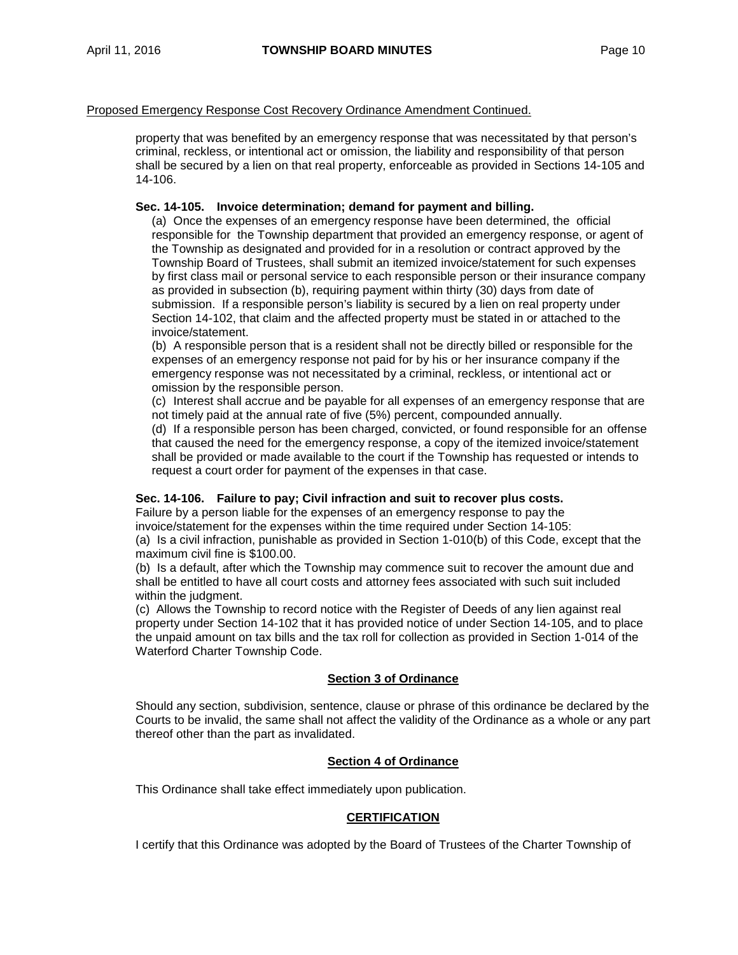## Proposed Emergency Response Cost Recovery Ordinance Amendment Continued.

property that was benefited by an emergency response that was necessitated by that person's criminal, reckless, or intentional act or omission, the liability and responsibility of that person shall be secured by a lien on that real property, enforceable as provided in Sections 14-105 and 14-106.

## **Sec. 14-105. Invoice determination; demand for payment and billing.**

(a) Once the expenses of an emergency response have been determined, the official responsible for the Township department that provided an emergency response, or agent of the Township as designated and provided for in a resolution or contract approved by the Township Board of Trustees, shall submit an itemized invoice/statement for such expenses by first class mail or personal service to each responsible person or their insurance company as provided in subsection (b), requiring payment within thirty (30) days from date of submission. If a responsible person's liability is secured by a lien on real property under Section 14-102, that claim and the affected property must be stated in or attached to the invoice/statement.

(b) A responsible person that is a resident shall not be directly billed or responsible for the expenses of an emergency response not paid for by his or her insurance company if the emergency response was not necessitated by a criminal, reckless, or intentional act or omission by the responsible person.

(c) Interest shall accrue and be payable for all expenses of an emergency response that are not timely paid at the annual rate of five (5%) percent, compounded annually.

(d) If a responsible person has been charged, convicted, or found responsible for an offense that caused the need for the emergency response, a copy of the itemized invoice/statement shall be provided or made available to the court if the Township has requested or intends to request a court order for payment of the expenses in that case.

## **Sec. 14-106. Failure to pay; Civil infraction and suit to recover plus costs.**

Failure by a person liable for the expenses of an emergency response to pay the invoice/statement for the expenses within the time required under Section 14-105: (a) Is a civil infraction, punishable as provided in Section 1-010(b) of this Code, except that the

maximum civil fine is \$100.00.

(b) Is a default, after which the Township may commence suit to recover the amount due and shall be entitled to have all court costs and attorney fees associated with such suit included within the judgment.

(c) Allows the Township to record notice with the Register of Deeds of any lien against real property under Section 14-102 that it has provided notice of under Section 14-105, and to place the unpaid amount on tax bills and the tax roll for collection as provided in Section 1-014 of the Waterford Charter Township Code.

## **Section 3 of Ordinance**

Should any section, subdivision, sentence, clause or phrase of this ordinance be declared by the Courts to be invalid, the same shall not affect the validity of the Ordinance as a whole or any part thereof other than the part as invalidated.

## **Section 4 of Ordinance**

This Ordinance shall take effect immediately upon publication.

## **CERTIFICATION**

I certify that this Ordinance was adopted by the Board of Trustees of the Charter Township of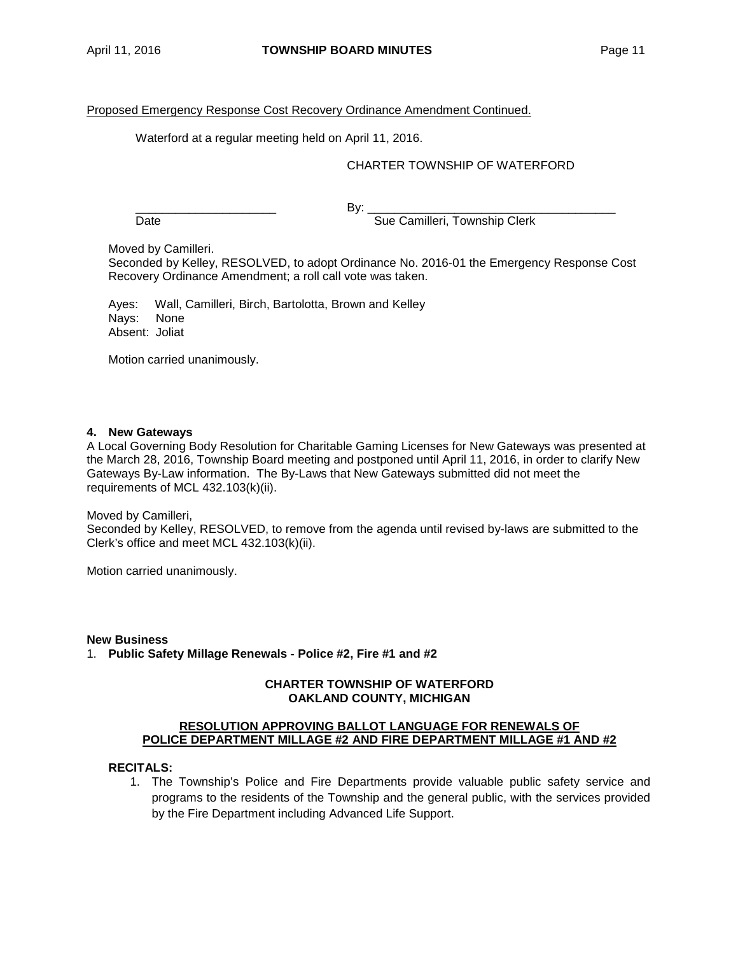## Proposed Emergency Response Cost Recovery Ordinance Amendment Continued.

Waterford at a regular meeting held on April 11, 2016.

## CHARTER TOWNSHIP OF WATERFORD

\_\_\_\_\_\_\_\_\_\_\_\_\_\_\_\_\_\_\_\_\_ By: \_\_\_\_\_\_\_\_\_\_\_\_\_\_\_\_\_\_\_\_\_\_\_\_\_\_\_\_\_\_\_\_\_\_\_\_\_

Date **Sue Camilleri, Township Clerk** 

Moved by Camilleri.

Seconded by Kelley, RESOLVED, to adopt Ordinance No. 2016-01 the Emergency Response Cost Recovery Ordinance Amendment; a roll call vote was taken.

Ayes: Wall, Camilleri, Birch, Bartolotta, Brown and Kelley Nays: None Absent: Joliat

Motion carried unanimously.

## **4. New Gateways**

A Local Governing Body Resolution for Charitable Gaming Licenses for New Gateways was presented at the March 28, 2016, Township Board meeting and postponed until April 11, 2016, in order to clarify New Gateways By-Law information. The By-Laws that New Gateways submitted did not meet the requirements of MCL 432.103(k)(ii).

Moved by Camilleri,

Seconded by Kelley, RESOLVED, to remove from the agenda until revised by-laws are submitted to the Clerk's office and meet MCL 432.103(k)(ii).

Motion carried unanimously.

**New Business** 1. **Public Safety Millage Renewals - Police #2, Fire #1 and #2**

## **CHARTER TOWNSHIP OF WATERFORD OAKLAND COUNTY, MICHIGAN**

## **RESOLUTION APPROVING BALLOT LANGUAGE FOR RENEWALS OF POLICE DEPARTMENT MILLAGE #2 AND FIRE DEPARTMENT MILLAGE #1 AND #2**

## **RECITALS:**

1. The Township's Police and Fire Departments provide valuable public safety service and programs to the residents of the Township and the general public, with the services provided by the Fire Department including Advanced Life Support.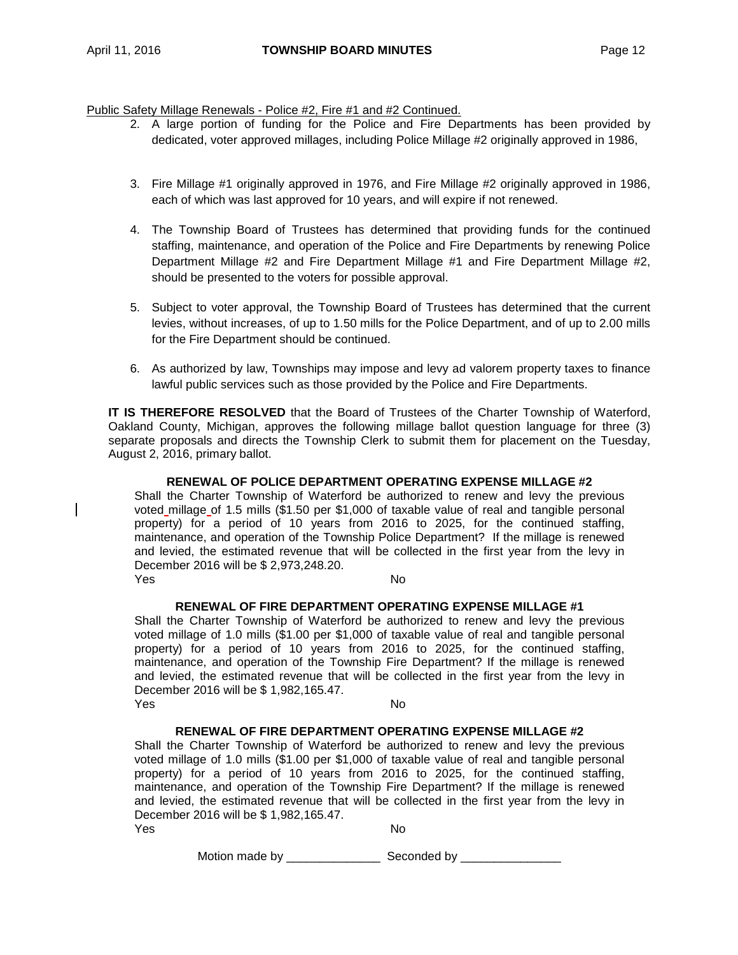Public Safety Millage Renewals - Police #2, Fire #1 and #2 Continued.

- 2. A large portion of funding for the Police and Fire Departments has been provided by dedicated, voter approved millages, including Police Millage #2 originally approved in 1986,
- 3. Fire Millage #1 originally approved in 1976, and Fire Millage #2 originally approved in 1986, each of which was last approved for 10 years, and will expire if not renewed.
- 4. The Township Board of Trustees has determined that providing funds for the continued staffing, maintenance, and operation of the Police and Fire Departments by renewing Police Department Millage #2 and Fire Department Millage #1 and Fire Department Millage #2, should be presented to the voters for possible approval.
- 5. Subject to voter approval, the Township Board of Trustees has determined that the current levies, without increases, of up to 1.50 mills for the Police Department, and of up to 2.00 mills for the Fire Department should be continued.
- 6. As authorized by law, Townships may impose and levy ad valorem property taxes to finance lawful public services such as those provided by the Police and Fire Departments.

**IT IS THEREFORE RESOLVED** that the Board of Trustees of the Charter Township of Waterford, Oakland County, Michigan, approves the following millage ballot question language for three (3) separate proposals and directs the Township Clerk to submit them for placement on the Tuesday, August 2, 2016, primary ballot.

## **RENEWAL OF POLICE DEPARTMENT OPERATING EXPENSE MILLAGE #2**

Shall the Charter Township of Waterford be authorized to renew and levy the previous voted millage of 1.5 mills (\$1.50 per \$1,000 of taxable value of real and tangible personal property) for a period of 10 years from 2016 to 2025, for the continued staffing, maintenance, and operation of the Township Police Department? If the millage is renewed and levied, the estimated revenue that will be collected in the first year from the levy in December 2016 will be \$ 2,973,248.20. Yes No

## **RENEWAL OF FIRE DEPARTMENT OPERATING EXPENSE MILLAGE #1**

Shall the Charter Township of Waterford be authorized to renew and levy the previous voted millage of 1.0 mills (\$1.00 per \$1,000 of taxable value of real and tangible personal property) for a period of 10 years from 2016 to 2025, for the continued staffing, maintenance, and operation of the Township Fire Department? If the millage is renewed and levied, the estimated revenue that will be collected in the first year from the levy in December 2016 will be \$ 1,982,165.47. Yes No

# **RENEWAL OF FIRE DEPARTMENT OPERATING EXPENSE MILLAGE #2**

Shall the Charter Township of Waterford be authorized to renew and levy the previous voted millage of 1.0 mills (\$1.00 per \$1,000 of taxable value of real and tangible personal property) for a period of 10 years from 2016 to 2025, for the continued staffing, maintenance, and operation of the Township Fire Department? If the millage is renewed and levied, the estimated revenue that will be collected in the first year from the levy in December 2016 will be \$ 1,982,165.47. Yes No

Motion made by \_\_\_\_\_\_\_\_\_\_\_\_\_\_\_\_\_\_\_\_\_\_\_ Seconded by \_\_\_\_\_\_\_\_\_\_\_\_\_\_\_\_\_\_\_\_\_\_\_\_\_\_\_\_\_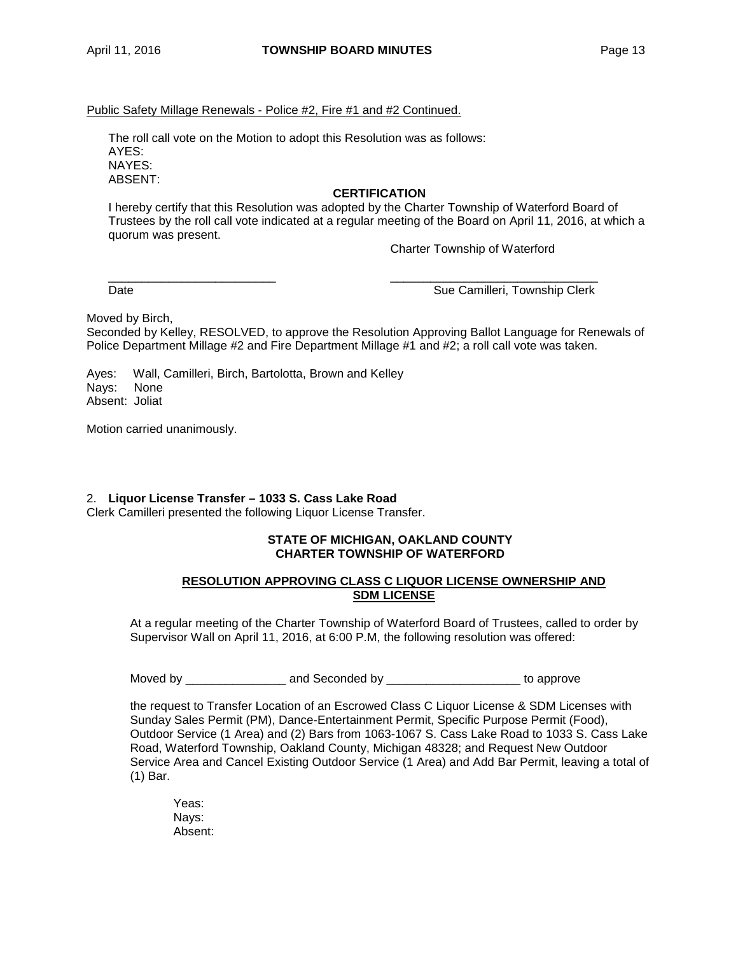## Public Safety Millage Renewals - Police #2, Fire #1 and #2 Continued.

The roll call vote on the Motion to adopt this Resolution was as follows: AYES: NAYES: ABSENT:

## **CERTIFICATION**

I hereby certify that this Resolution was adopted by the Charter Township of Waterford Board of Trustees by the roll call vote indicated at a regular meeting of the Board on April 11, 2016, at which a quorum was present.

Charter Township of Waterford

Date **Sue Camilleri, Township Clerk** Sue Camilleri, Township Clerk

Moved by Birch,

Seconded by Kelley, RESOLVED, to approve the Resolution Approving Ballot Language for Renewals of Police Department Millage #2 and Fire Department Millage #1 and #2; a roll call vote was taken.

\_\_\_\_\_\_\_\_\_\_\_\_\_\_\_\_\_\_\_\_\_\_\_\_\_ \_\_\_\_\_\_\_\_\_\_\_\_\_\_\_\_\_\_\_\_\_\_\_\_\_\_\_\_\_\_\_

Ayes: Wall, Camilleri, Birch, Bartolotta, Brown and Kelley Nays: Absent: Joliat

Motion carried unanimously.

## 2. **Liquor License Transfer – 1033 S. Cass Lake Road**

Clerk Camilleri presented the following Liquor License Transfer.

## **STATE OF MICHIGAN, OAKLAND COUNTY CHARTER TOWNSHIP OF WATERFORD**

## **RESOLUTION APPROVING CLASS C LIQUOR LICENSE OWNERSHIP AND SDM LICENSE**

At a regular meeting of the Charter Township of Waterford Board of Trustees, called to order by Supervisor Wall on April 11, 2016, at 6:00 P.M, the following resolution was offered:

Moved by \_\_\_\_\_\_\_\_\_\_\_\_\_\_\_ and Seconded by \_\_\_\_\_\_\_\_\_\_\_\_\_\_\_\_\_\_\_\_ to approve

the request to Transfer Location of an Escrowed Class C Liquor License & SDM Licenses with Sunday Sales Permit (PM), Dance-Entertainment Permit, Specific Purpose Permit (Food), Outdoor Service (1 Area) and (2) Bars from 1063-1067 S. Cass Lake Road to 1033 S. Cass Lake Road, Waterford Township, Oakland County, Michigan 48328; and Request New Outdoor Service Area and Cancel Existing Outdoor Service (1 Area) and Add Bar Permit, leaving a total of (1) Bar.

Yeas: Nays: Absent: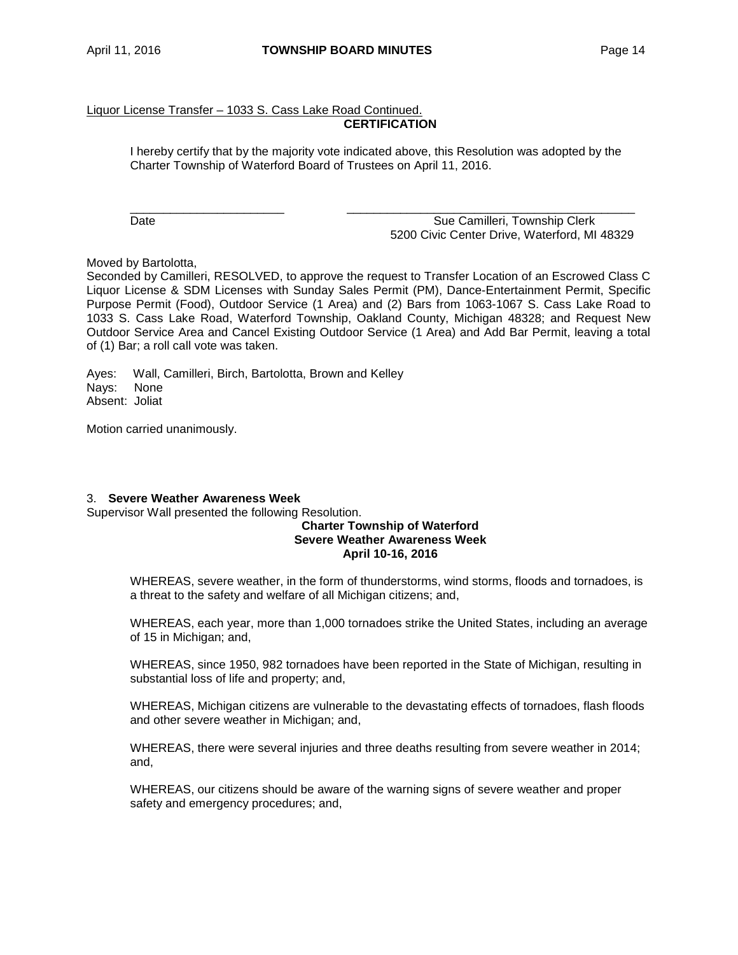## Liquor License Transfer – 1033 S. Cass Lake Road Continued. **CERTIFICATION**

I hereby certify that by the majority vote indicated above, this Resolution was adopted by the Charter Township of Waterford Board of Trustees on April 11, 2016.

\_\_\_\_\_\_\_\_\_\_\_\_\_\_\_\_\_\_\_\_\_\_\_ \_\_\_\_\_\_\_\_\_\_\_\_\_\_\_\_\_\_\_\_\_\_\_\_\_\_\_\_\_\_\_\_\_\_\_\_\_\_\_\_\_\_\_ Date **Sue Camilleri, Township Clerk** Sue Camilleri, Township Clerk 5200 Civic Center Drive, Waterford, MI 48329

Moved by Bartolotta,

Seconded by Camilleri, RESOLVED, to approve the request to Transfer Location of an Escrowed Class C Liquor License & SDM Licenses with Sunday Sales Permit (PM), Dance-Entertainment Permit, Specific Purpose Permit (Food), Outdoor Service (1 Area) and (2) Bars from 1063-1067 S. Cass Lake Road to 1033 S. Cass Lake Road, Waterford Township, Oakland County, Michigan 48328; and Request New Outdoor Service Area and Cancel Existing Outdoor Service (1 Area) and Add Bar Permit, leaving a total of (1) Bar; a roll call vote was taken.

Ayes: Wall, Camilleri, Birch, Bartolotta, Brown and Kelley Nays: None Absent: Joliat

Motion carried unanimously.

## 3. **Severe Weather Awareness Week**

Supervisor Wall presented the following Resolution.

#### **Charter Township of Waterford Severe Weather Awareness Week April 10-16, 2016**

WHEREAS, severe weather, in the form of thunderstorms, wind storms, floods and tornadoes, is a threat to the safety and welfare of all Michigan citizens; and,

WHEREAS, each year, more than 1,000 tornadoes strike the United States, including an average of 15 in Michigan; and,

WHEREAS, since 1950, 982 tornadoes have been reported in the State of Michigan, resulting in substantial loss of life and property; and,

WHEREAS, Michigan citizens are vulnerable to the devastating effects of tornadoes, flash floods and other severe weather in Michigan; and,

WHEREAS, there were several injuries and three deaths resulting from severe weather in 2014; and,

WHEREAS, our citizens should be aware of the warning signs of severe weather and proper safety and emergency procedures; and,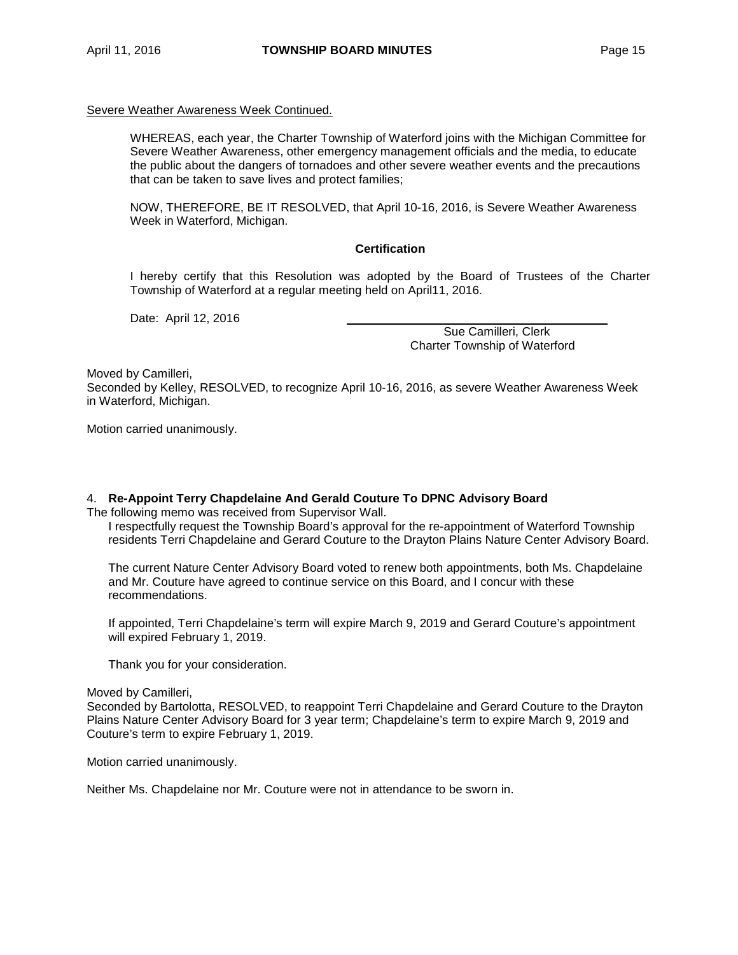#### Severe Weather Awareness Week Continued.

WHEREAS, each year, the Charter Township of Waterford joins with the Michigan Committee for Severe Weather Awareness, other emergency management officials and the media, to educate the public about the dangers of tornadoes and other severe weather events and the precautions that can be taken to save lives and protect families;

NOW, THEREFORE, BE IT RESOLVED, that April 10-16, 2016, is Severe Weather Awareness Week in Waterford, Michigan.

#### **Certification**

I hereby certify that this Resolution was adopted by the Board of Trustees of the Charter Township of Waterford at a regular meeting held on April11, 2016.

Date: April 12, 2016

 Sue Camilleri, Clerk Charter Township of Waterford

Moved by Camilleri,

Seconded by Kelley, RESOLVED, to recognize April 10-16, 2016, as severe Weather Awareness Week in Waterford, Michigan.

Motion carried unanimously.

## 4. **Re-Appoint Terry Chapdelaine And Gerald Couture To DPNC Advisory Board**

The following memo was received from Supervisor Wall.

I respectfully request the Township Board's approval for the re-appointment of Waterford Township residents Terri Chapdelaine and Gerard Couture to the Drayton Plains Nature Center Advisory Board.

The current Nature Center Advisory Board voted to renew both appointments, both Ms. Chapdelaine and Mr. Couture have agreed to continue service on this Board, and I concur with these recommendations.

If appointed, Terri Chapdelaine's term will expire March 9, 2019 and Gerard Couture's appointment will expired February 1, 2019.

Thank you for your consideration.

#### Moved by Camilleri,

Seconded by Bartolotta, RESOLVED, to reappoint Terri Chapdelaine and Gerard Couture to the Drayton Plains Nature Center Advisory Board for 3 year term; Chapdelaine's term to expire March 9, 2019 and Couture's term to expire February 1, 2019.

Motion carried unanimously.

Neither Ms. Chapdelaine nor Mr. Couture were not in attendance to be sworn in.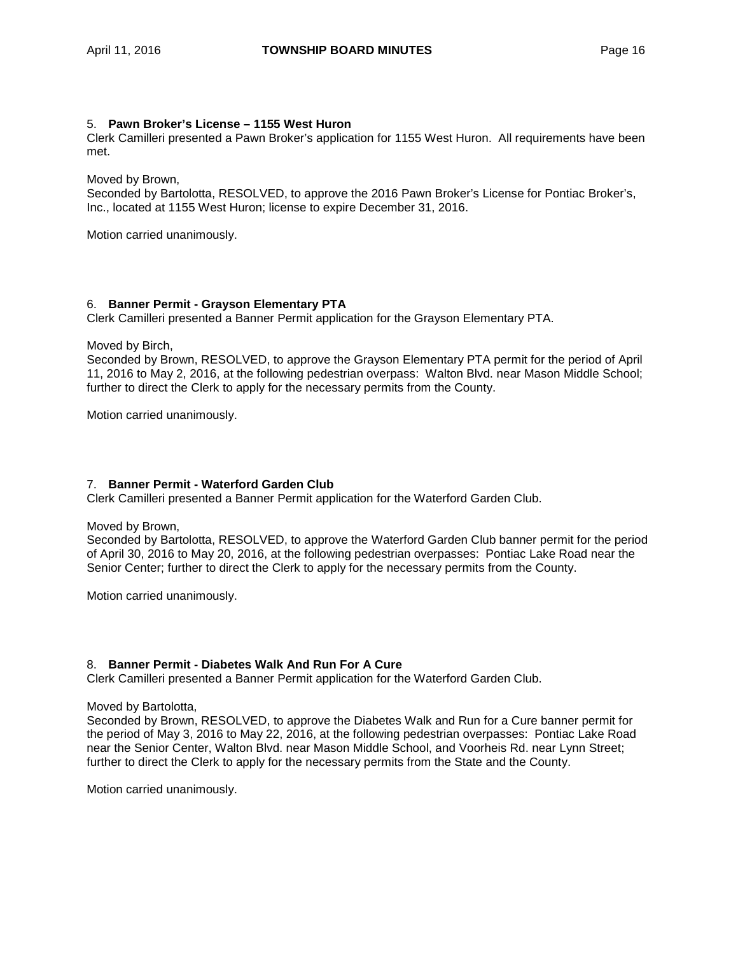#### 5. **Pawn Broker's License – 1155 West Huron**

Clerk Camilleri presented a Pawn Broker's application for 1155 West Huron. All requirements have been met.

Moved by Brown,

Seconded by Bartolotta, RESOLVED, to approve the 2016 Pawn Broker's License for Pontiac Broker's, Inc., located at 1155 West Huron; license to expire December 31, 2016.

Motion carried unanimously.

## 6. **Banner Permit - Grayson Elementary PTA**

Clerk Camilleri presented a Banner Permit application for the Grayson Elementary PTA.

Moved by Birch,

Seconded by Brown, RESOLVED, to approve the Grayson Elementary PTA permit for the period of April 11, 2016 to May 2, 2016, at the following pedestrian overpass: Walton Blvd. near Mason Middle School; further to direct the Clerk to apply for the necessary permits from the County.

Motion carried unanimously.

## 7. **Banner Permit - Waterford Garden Club**

Clerk Camilleri presented a Banner Permit application for the Waterford Garden Club.

#### Moved by Brown,

Seconded by Bartolotta, RESOLVED, to approve the Waterford Garden Club banner permit for the period of April 30, 2016 to May 20, 2016, at the following pedestrian overpasses: Pontiac Lake Road near the Senior Center; further to direct the Clerk to apply for the necessary permits from the County.

Motion carried unanimously.

## 8. **Banner Permit - Diabetes Walk And Run For A Cure**

Clerk Camilleri presented a Banner Permit application for the Waterford Garden Club.

#### Moved by Bartolotta,

Seconded by Brown, RESOLVED, to approve the Diabetes Walk and Run for a Cure banner permit for the period of May 3, 2016 to May 22, 2016, at the following pedestrian overpasses: Pontiac Lake Road near the Senior Center, Walton Blvd. near Mason Middle School, and Voorheis Rd. near Lynn Street; further to direct the Clerk to apply for the necessary permits from the State and the County.

Motion carried unanimously.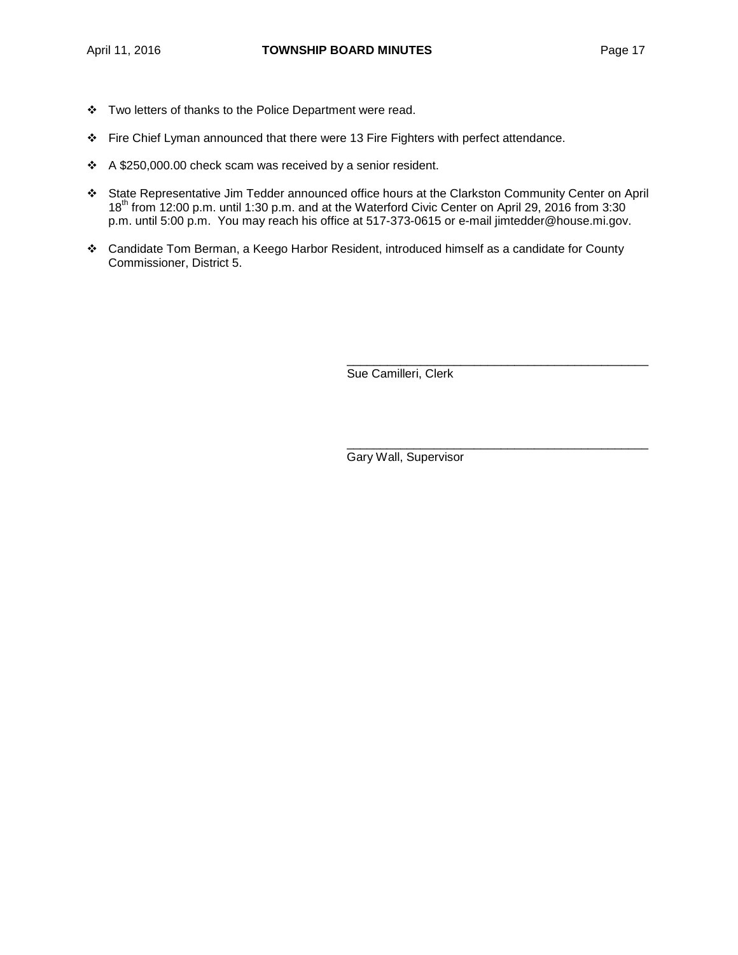- \* Two letters of thanks to the Police Department were read.
- Fire Chief Lyman announced that there were 13 Fire Fighters with perfect attendance.
- A \$250,000.00 check scam was received by a senior resident.
- State Representative Jim Tedder announced office hours at the Clarkston Community Center on April 18th from 12:00 p.m. until 1:30 p.m. and at the Waterford Civic Center on April 29, 2016 from 3:30 p.m. until 5:00 p.m. You may reach his office at 517-373-0615 or e-mail [jimtedder@house.mi.gov.](mailto:jimtedder@house.mi.gov)
- Candidate Tom Berman, a Keego Harbor Resident, introduced himself as a candidate for County Commissioner, District 5.

\_\_\_\_\_\_\_\_\_\_\_\_\_\_\_\_\_\_\_\_\_\_\_\_\_\_\_\_\_\_\_\_\_\_\_\_\_\_\_\_\_\_\_\_\_ Sue Camilleri, Clerk

Gary Wall, Supervisor

\_\_\_\_\_\_\_\_\_\_\_\_\_\_\_\_\_\_\_\_\_\_\_\_\_\_\_\_\_\_\_\_\_\_\_\_\_\_\_\_\_\_\_\_\_